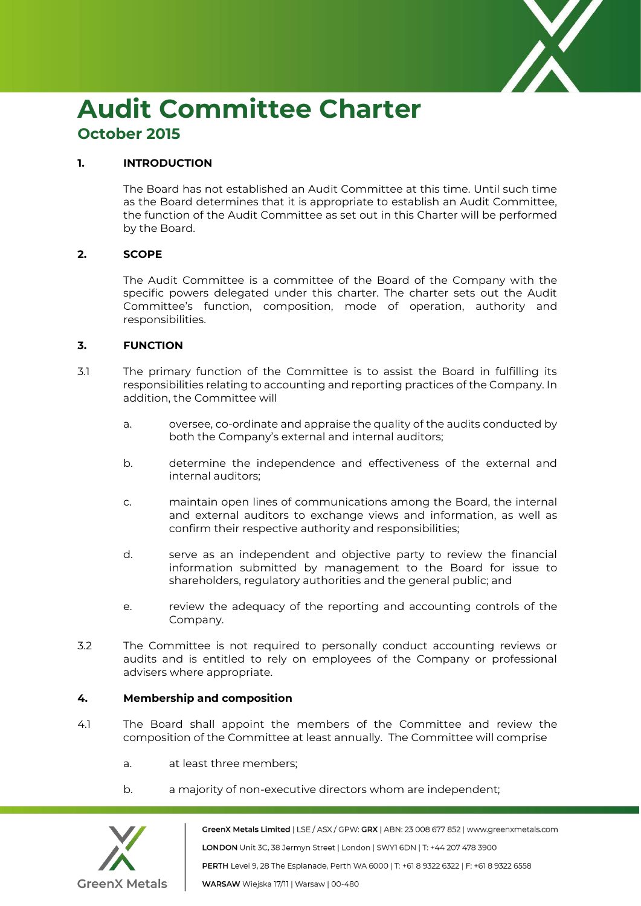

# **Audit Committee Charter October 2015**

## **1. INTRODUCTION**

The Board has not established an Audit Committee at this time. Until such time as the Board determines that it is appropriate to establish an Audit Committee, the function of the Audit Committee as set out in this Charter will be performed by the Board.

## **2. SCOPE**

The Audit Committee is a committee of the Board of the Company with the specific powers delegated under this charter. The charter sets out the Audit Committee's function, composition, mode of operation, authority and responsibilities.

## **3. FUNCTION**

- 3.1 The primary function of the Committee is to assist the Board in fulfilling its responsibilities relating to accounting and reporting practices of the Company. In addition, the Committee will
	- a. oversee, co-ordinate and appraise the quality of the audits conducted by both the Company's external and internal auditors;
	- b. determine the independence and effectiveness of the external and internal auditors;
	- c. maintain open lines of communications among the Board, the internal and external auditors to exchange views and information, as well as confirm their respective authority and responsibilities;
	- d. serve as an independent and objective party to review the financial information submitted by management to the Board for issue to shareholders, regulatory authorities and the general public; and
	- e. review the adequacy of the reporting and accounting controls of the Company.
- 3.2 The Committee is not required to personally conduct accounting reviews or audits and is entitled to rely on employees of the Company or professional advisers where appropriate.

### **4. Membership and composition**

- 4.1 The Board shall appoint the members of the Committee and review the composition of the Committee at least annually. The Committee will comprise
	- a. at least three members;
	- b. a majority of non-executive directors whom are independent;



GreenX Metals Limited | LSE / ASX / GPW: GRX | ABN: 23 008 677 852 | www.greenxmetals.com LONDON Unit 3C, 38 Jermyn Street | London | SWY1 6DN | T: +44 207 478 3900 PERTH Level 9, 28 The Esplanade, Perth WA 6000 | T: +61 8 9322 6322 | F: +61 8 9322 6558 WARSAW Wiejska 17/11 | Warsaw | 00-480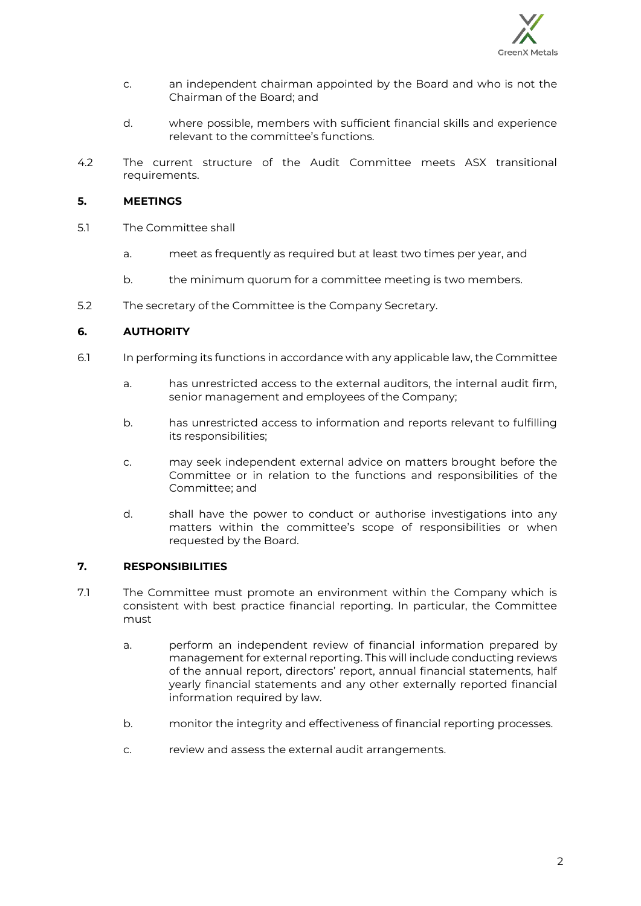

- c. an independent chairman appointed by the Board and who is not the Chairman of the Board; and
- d. where possible, members with sufficient financial skills and experience relevant to the committee's functions.
- 4.2 The current structure of the Audit Committee meets ASX transitional requirements.

## **5. MEETINGS**

- 5.1 The Committee shall
	- a. meet as frequently as required but at least two times per year, and
	- b. the minimum quorum for a committee meeting is two members.
- 5.2 The secretary of the Committee is the Company Secretary.

## **6. AUTHORITY**

- 6.1 In performing its functions in accordance with any applicable law, the Committee
	- a. has unrestricted access to the external auditors, the internal audit firm, senior management and employees of the Company;
	- b. has unrestricted access to information and reports relevant to fulfilling its responsibilities;
	- c. may seek independent external advice on matters brought before the Committee or in relation to the functions and responsibilities of the Committee; and
	- d. shall have the power to conduct or authorise investigations into any matters within the committee's scope of responsibilities or when requested by the Board.

## **7. RESPONSIBILITIES**

- 7.1 The Committee must promote an environment within the Company which is consistent with best practice financial reporting. In particular, the Committee must
	- a. perform an independent review of financial information prepared by management for external reporting. This will include conducting reviews of the annual report, directors' report, annual financial statements, half yearly financial statements and any other externally reported financial information required by law.
	- b. monitor the integrity and effectiveness of financial reporting processes.
	- c. review and assess the external audit arrangements.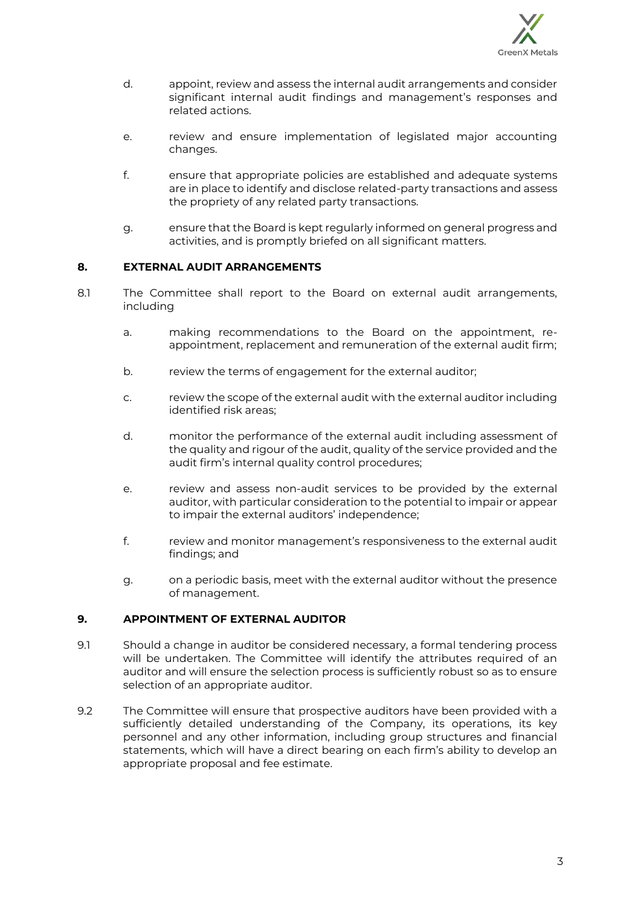

- d. appoint, review and assess the internal audit arrangements and consider significant internal audit findings and management's responses and related actions.
- e. review and ensure implementation of legislated major accounting changes.
- f. ensure that appropriate policies are established and adequate systems are in place to identify and disclose related-party transactions and assess the propriety of any related party transactions.
- g. ensure that the Board is kept regularly informed on general progress and activities, and is promptly briefed on all significant matters.

## **8. EXTERNAL AUDIT ARRANGEMENTS**

- 8.1 The Committee shall report to the Board on external audit arrangements, including
	- a. making recommendations to the Board on the appointment, reappointment, replacement and remuneration of the external audit firm;
	- b. review the terms of engagement for the external auditor;
	- c. review the scope of the external audit with the external auditor including identified risk areas;
	- d. monitor the performance of the external audit including assessment of the quality and rigour of the audit, quality of the service provided and the audit firm's internal quality control procedures;
	- e. review and assess non-audit services to be provided by the external auditor, with particular consideration to the potential to impair or appear to impair the external auditors' independence;
	- f. review and monitor management's responsiveness to the external audit findings; and
	- g. on a periodic basis, meet with the external auditor without the presence of management.

### **9. APPOINTMENT OF EXTERNAL AUDITOR**

- 9.1 Should a change in auditor be considered necessary, a formal tendering process will be undertaken. The Committee will identify the attributes required of an auditor and will ensure the selection process is sufficiently robust so as to ensure selection of an appropriate auditor.
- 9.2 The Committee will ensure that prospective auditors have been provided with a sufficiently detailed understanding of the Company, its operations, its key personnel and any other information, including group structures and financial statements, which will have a direct bearing on each firm's ability to develop an appropriate proposal and fee estimate.